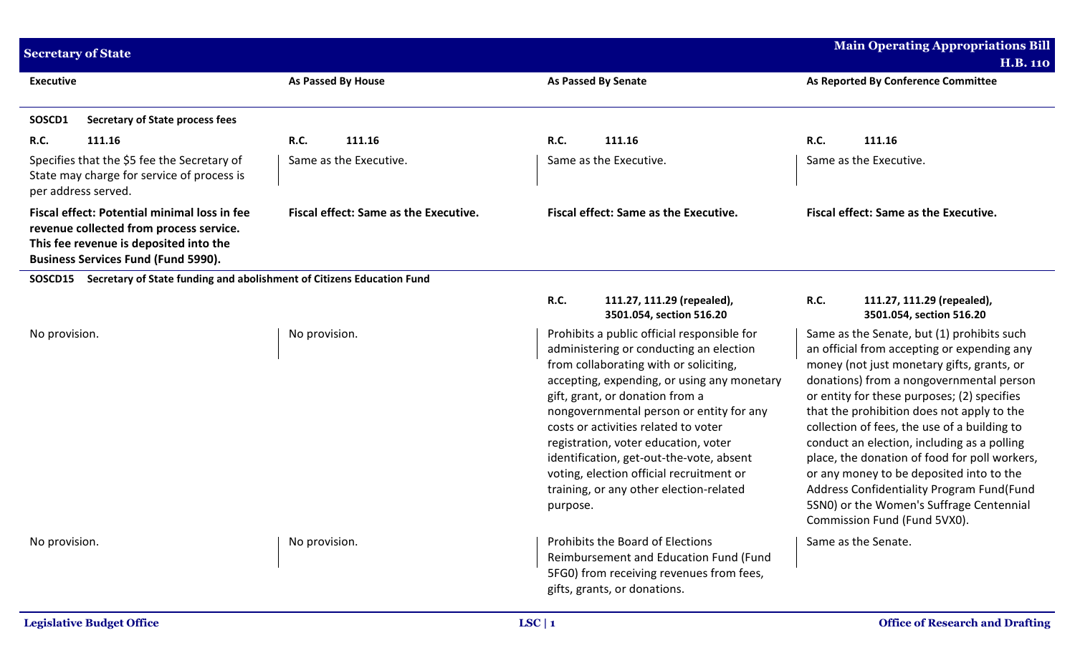| <b>Secretary of State</b>                                                                                                                                                       |                                                                                           |                                              |                            |                                                                                                                                                                                                                                                                                                                                                                                                                                                                                   | <b>Main Operating Appropriations Bill</b><br><b>H.B. 110</b> |                                                                                                                                                                                                                                                                                                                                                                                                                                                                                                                                                                                                       |
|---------------------------------------------------------------------------------------------------------------------------------------------------------------------------------|-------------------------------------------------------------------------------------------|----------------------------------------------|----------------------------|-----------------------------------------------------------------------------------------------------------------------------------------------------------------------------------------------------------------------------------------------------------------------------------------------------------------------------------------------------------------------------------------------------------------------------------------------------------------------------------|--------------------------------------------------------------|-------------------------------------------------------------------------------------------------------------------------------------------------------------------------------------------------------------------------------------------------------------------------------------------------------------------------------------------------------------------------------------------------------------------------------------------------------------------------------------------------------------------------------------------------------------------------------------------------------|
| <b>Executive</b>                                                                                                                                                                |                                                                                           | As Passed By House                           | <b>As Passed By Senate</b> |                                                                                                                                                                                                                                                                                                                                                                                                                                                                                   |                                                              | As Reported By Conference Committee                                                                                                                                                                                                                                                                                                                                                                                                                                                                                                                                                                   |
| SOSCD1                                                                                                                                                                          | <b>Secretary of State process fees</b>                                                    |                                              |                            |                                                                                                                                                                                                                                                                                                                                                                                                                                                                                   |                                                              |                                                                                                                                                                                                                                                                                                                                                                                                                                                                                                                                                                                                       |
| <b>R.C.</b>                                                                                                                                                                     | 111.16                                                                                    | R.C.<br>111.16                               | <b>R.C.</b>                | 111.16                                                                                                                                                                                                                                                                                                                                                                                                                                                                            | R.C.                                                         | 111.16                                                                                                                                                                                                                                                                                                                                                                                                                                                                                                                                                                                                |
| per address served.                                                                                                                                                             | Specifies that the \$5 fee the Secretary of<br>State may charge for service of process is | Same as the Executive.                       |                            | Same as the Executive.                                                                                                                                                                                                                                                                                                                                                                                                                                                            |                                                              | Same as the Executive.                                                                                                                                                                                                                                                                                                                                                                                                                                                                                                                                                                                |
| Fiscal effect: Potential minimal loss in fee<br>revenue collected from process service.<br>This fee revenue is deposited into the<br><b>Business Services Fund (Fund 5990).</b> |                                                                                           | <b>Fiscal effect: Same as the Executive.</b> |                            | Fiscal effect: Same as the Executive.                                                                                                                                                                                                                                                                                                                                                                                                                                             |                                                              | <b>Fiscal effect: Same as the Executive.</b>                                                                                                                                                                                                                                                                                                                                                                                                                                                                                                                                                          |
|                                                                                                                                                                                 | SOSCD15 Secretary of State funding and abolishment of Citizens Education Fund             |                                              |                            |                                                                                                                                                                                                                                                                                                                                                                                                                                                                                   |                                                              |                                                                                                                                                                                                                                                                                                                                                                                                                                                                                                                                                                                                       |
|                                                                                                                                                                                 |                                                                                           |                                              | R.C.                       | 111.27, 111.29 (repealed),<br>3501.054, section 516.20                                                                                                                                                                                                                                                                                                                                                                                                                            | R.C.                                                         | 111.27, 111.29 (repealed),<br>3501.054, section 516.20                                                                                                                                                                                                                                                                                                                                                                                                                                                                                                                                                |
| No provision.                                                                                                                                                                   |                                                                                           | No provision.                                | purpose.                   | Prohibits a public official responsible for<br>administering or conducting an election<br>from collaborating with or soliciting,<br>accepting, expending, or using any monetary<br>gift, grant, or donation from a<br>nongovernmental person or entity for any<br>costs or activities related to voter<br>registration, voter education, voter<br>identification, get-out-the-vote, absent<br>voting, election official recruitment or<br>training, or any other election-related |                                                              | Same as the Senate, but (1) prohibits such<br>an official from accepting or expending any<br>money (not just monetary gifts, grants, or<br>donations) from a nongovernmental person<br>or entity for these purposes; (2) specifies<br>that the prohibition does not apply to the<br>collection of fees, the use of a building to<br>conduct an election, including as a polling<br>place, the donation of food for poll workers,<br>or any money to be deposited into to the<br>Address Confidentiality Program Fund(Fund<br>5SN0) or the Women's Suffrage Centennial<br>Commission Fund (Fund 5VX0). |
| No provision.                                                                                                                                                                   |                                                                                           | No provision.                                |                            | Prohibits the Board of Elections<br>Reimbursement and Education Fund (Fund<br>5FG0) from receiving revenues from fees,<br>gifts, grants, or donations.                                                                                                                                                                                                                                                                                                                            |                                                              | Same as the Senate.                                                                                                                                                                                                                                                                                                                                                                                                                                                                                                                                                                                   |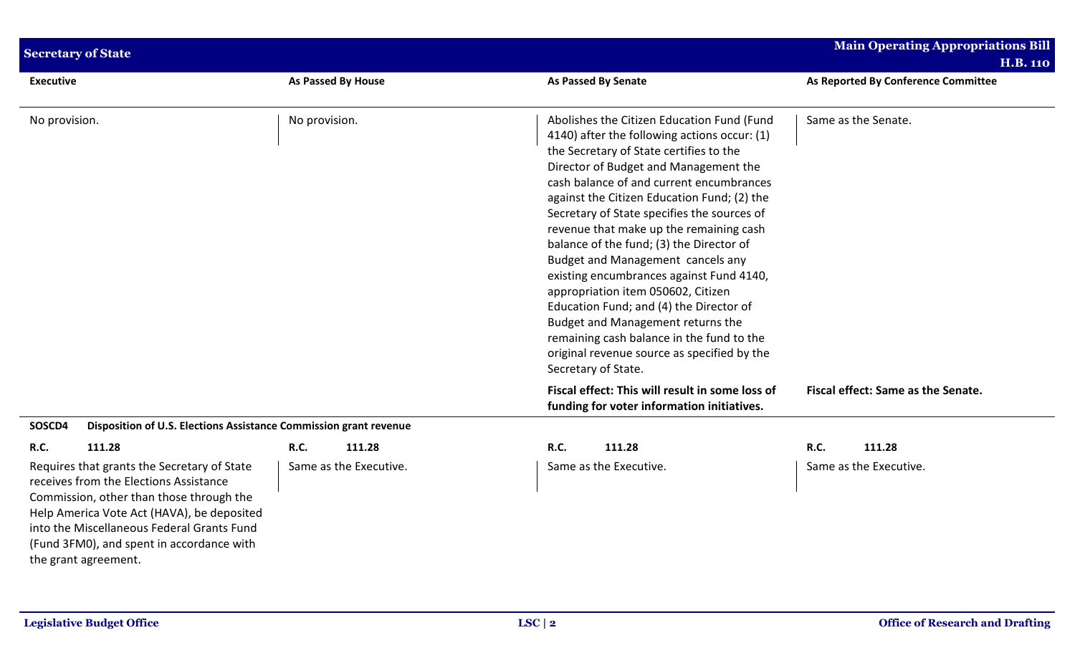| <b>Secretary of State</b>                                                                                                                                                                                                                                                                          |                        |                                                                                                                                                                                                                                                                                                                                                                                                                                                                                                                                                                                                                                                                                                                                           | <b>Main Operating Appropriations Bill</b><br><b>H.B. 110</b> |
|----------------------------------------------------------------------------------------------------------------------------------------------------------------------------------------------------------------------------------------------------------------------------------------------------|------------------------|-------------------------------------------------------------------------------------------------------------------------------------------------------------------------------------------------------------------------------------------------------------------------------------------------------------------------------------------------------------------------------------------------------------------------------------------------------------------------------------------------------------------------------------------------------------------------------------------------------------------------------------------------------------------------------------------------------------------------------------------|--------------------------------------------------------------|
| <b>Executive</b>                                                                                                                                                                                                                                                                                   | As Passed By House     | <b>As Passed By Senate</b>                                                                                                                                                                                                                                                                                                                                                                                                                                                                                                                                                                                                                                                                                                                | As Reported By Conference Committee                          |
| No provision.                                                                                                                                                                                                                                                                                      | No provision.          | Abolishes the Citizen Education Fund (Fund<br>4140) after the following actions occur: (1)<br>the Secretary of State certifies to the<br>Director of Budget and Management the<br>cash balance of and current encumbrances<br>against the Citizen Education Fund; (2) the<br>Secretary of State specifies the sources of<br>revenue that make up the remaining cash<br>balance of the fund; (3) the Director of<br>Budget and Management cancels any<br>existing encumbrances against Fund 4140,<br>appropriation item 050602, Citizen<br>Education Fund; and (4) the Director of<br>Budget and Management returns the<br>remaining cash balance in the fund to the<br>original revenue source as specified by the<br>Secretary of State. | Same as the Senate.                                          |
|                                                                                                                                                                                                                                                                                                    |                        | Fiscal effect: This will result in some loss of<br>funding for voter information initiatives.                                                                                                                                                                                                                                                                                                                                                                                                                                                                                                                                                                                                                                             | Fiscal effect: Same as the Senate.                           |
| SOSCD4<br>Disposition of U.S. Elections Assistance Commission grant revenue                                                                                                                                                                                                                        |                        |                                                                                                                                                                                                                                                                                                                                                                                                                                                                                                                                                                                                                                                                                                                                           |                                                              |
| 111.28<br><b>R.C.</b>                                                                                                                                                                                                                                                                              | <b>R.C.</b><br>111.28  | R.C.<br>111.28                                                                                                                                                                                                                                                                                                                                                                                                                                                                                                                                                                                                                                                                                                                            | R.C.<br>111.28                                               |
| Requires that grants the Secretary of State<br>receives from the Elections Assistance<br>Commission, other than those through the<br>Help America Vote Act (HAVA), be deposited<br>into the Miscellaneous Federal Grants Fund<br>(Fund 3FM0), and spent in accordance with<br>the grant agreement. | Same as the Executive. | Same as the Executive.                                                                                                                                                                                                                                                                                                                                                                                                                                                                                                                                                                                                                                                                                                                    | Same as the Executive.                                       |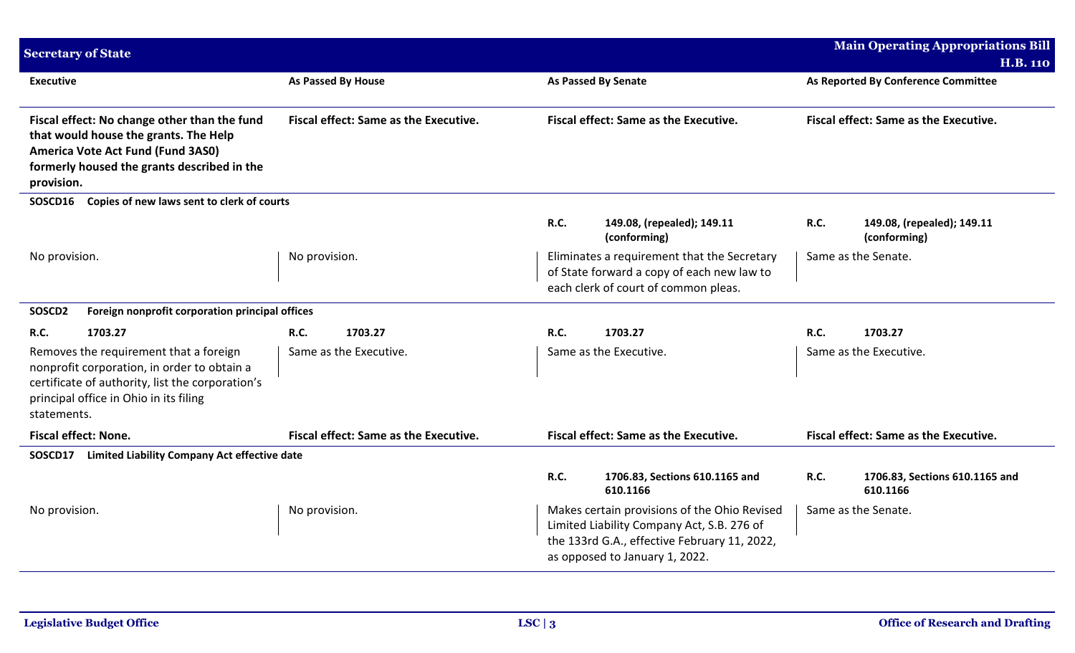| <b>Secretary of State</b>                                                                                                                                                                          |                                              |                                                                                                                                                                              | <b>Main Operating Appropriations Bill</b>                 |  |
|----------------------------------------------------------------------------------------------------------------------------------------------------------------------------------------------------|----------------------------------------------|------------------------------------------------------------------------------------------------------------------------------------------------------------------------------|-----------------------------------------------------------|--|
| <b>Executive</b>                                                                                                                                                                                   | As Passed By House                           | As Passed By Senate                                                                                                                                                          | <b>H.B. 110</b>                                           |  |
|                                                                                                                                                                                                    |                                              |                                                                                                                                                                              | As Reported By Conference Committee                       |  |
| Fiscal effect: No change other than the fund<br>that would house the grants. The Help<br>America Vote Act Fund (Fund 3AS0)<br>formerly housed the grants described in the<br>provision.            | Fiscal effect: Same as the Executive.        | Fiscal effect: Same as the Executive.                                                                                                                                        | Fiscal effect: Same as the Executive.                     |  |
| Copies of new laws sent to clerk of courts<br>SOSCD16                                                                                                                                              |                                              |                                                                                                                                                                              |                                                           |  |
|                                                                                                                                                                                                    |                                              | R.C.<br>149.08, (repealed); 149.11<br>(conforming)                                                                                                                           | <b>R.C.</b><br>149.08, (repealed); 149.11<br>(conforming) |  |
| No provision.                                                                                                                                                                                      | No provision.                                | Eliminates a requirement that the Secretary<br>of State forward a copy of each new law to<br>each clerk of court of common pleas.                                            | Same as the Senate.                                       |  |
| SOSCD2<br>Foreign nonprofit corporation principal offices                                                                                                                                          |                                              |                                                                                                                                                                              |                                                           |  |
| 1703.27<br>R.C.                                                                                                                                                                                    | <b>R.C.</b><br>1703.27                       | R.C.<br>1703.27                                                                                                                                                              | <b>R.C.</b><br>1703.27                                    |  |
| Removes the requirement that a foreign<br>nonprofit corporation, in order to obtain a<br>certificate of authority, list the corporation's<br>principal office in Ohio in its filing<br>statements. | Same as the Executive.                       | Same as the Executive.                                                                                                                                                       | Same as the Executive.                                    |  |
| <b>Fiscal effect: None.</b>                                                                                                                                                                        | <b>Fiscal effect: Same as the Executive.</b> | Fiscal effect: Same as the Executive.                                                                                                                                        | Fiscal effect: Same as the Executive.                     |  |
| Limited Liability Company Act effective date<br>SOSCD17                                                                                                                                            |                                              |                                                                                                                                                                              |                                                           |  |
|                                                                                                                                                                                                    |                                              | R.C.<br>1706.83, Sections 610.1165 and<br>610.1166                                                                                                                           | <b>R.C.</b><br>1706.83, Sections 610.1165 and<br>610.1166 |  |
| No provision.                                                                                                                                                                                      | No provision.                                | Makes certain provisions of the Ohio Revised<br>Limited Liability Company Act, S.B. 276 of<br>the 133rd G.A., effective February 11, 2022,<br>as opposed to January 1, 2022. | Same as the Senate.                                       |  |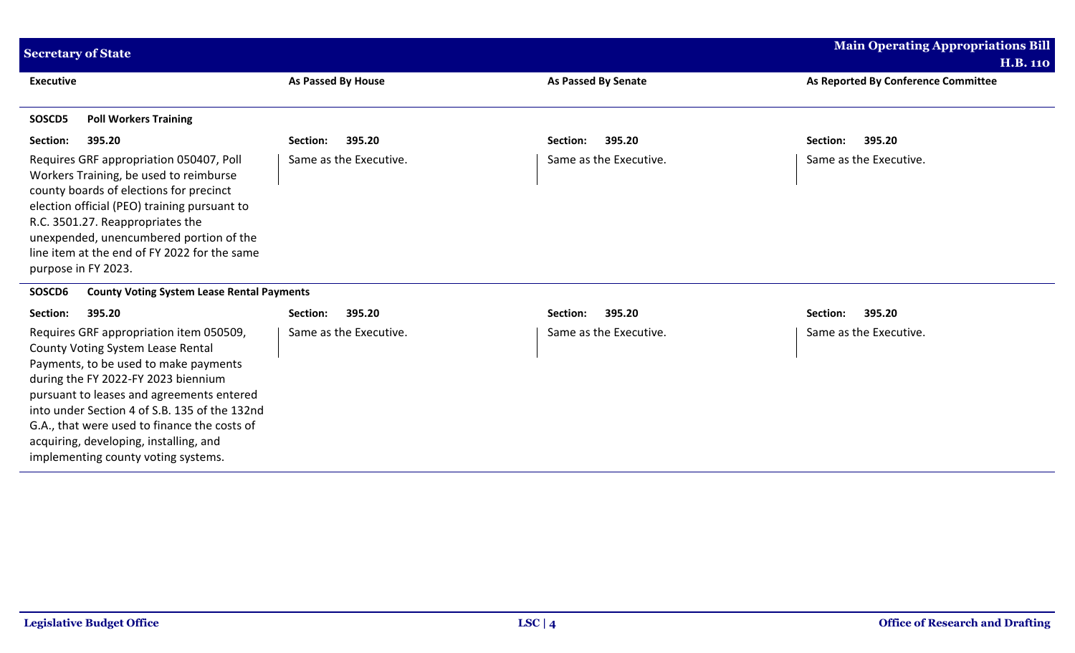| <b>Secretary of State</b>                                                                                                                                                                                                                                                                                                                                                                   |                           |                            | <b>Main Operating Appropriations Bill</b>              |
|---------------------------------------------------------------------------------------------------------------------------------------------------------------------------------------------------------------------------------------------------------------------------------------------------------------------------------------------------------------------------------------------|---------------------------|----------------------------|--------------------------------------------------------|
| <b>Executive</b>                                                                                                                                                                                                                                                                                                                                                                            | <b>As Passed By House</b> | <b>As Passed By Senate</b> | <b>H.B. 110</b><br>As Reported By Conference Committee |
| <b>Poll Workers Training</b><br>SOSCD5                                                                                                                                                                                                                                                                                                                                                      |                           |                            |                                                        |
| Section:<br>395.20                                                                                                                                                                                                                                                                                                                                                                          | 395.20<br>Section:        | 395.20<br>Section:         | 395.20<br>Section:                                     |
| Requires GRF appropriation 050407, Poll<br>Workers Training, be used to reimburse<br>county boards of elections for precinct<br>election official (PEO) training pursuant to<br>R.C. 3501.27. Reappropriates the<br>unexpended, unencumbered portion of the<br>line item at the end of FY 2022 for the same<br>purpose in FY 2023.                                                          | Same as the Executive.    | Same as the Executive.     | Same as the Executive.                                 |
| SOSCD6<br><b>County Voting System Lease Rental Payments</b>                                                                                                                                                                                                                                                                                                                                 |                           |                            |                                                        |
| Section:<br>395.20                                                                                                                                                                                                                                                                                                                                                                          | 395.20<br>Section:        | 395.20<br>Section:         | 395.20<br>Section:                                     |
| Requires GRF appropriation item 050509,<br>County Voting System Lease Rental<br>Payments, to be used to make payments<br>during the FY 2022-FY 2023 biennium<br>pursuant to leases and agreements entered<br>into under Section 4 of S.B. 135 of the 132nd<br>G.A., that were used to finance the costs of<br>acquiring, developing, installing, and<br>implementing county voting systems. | Same as the Executive.    | Same as the Executive.     | Same as the Executive.                                 |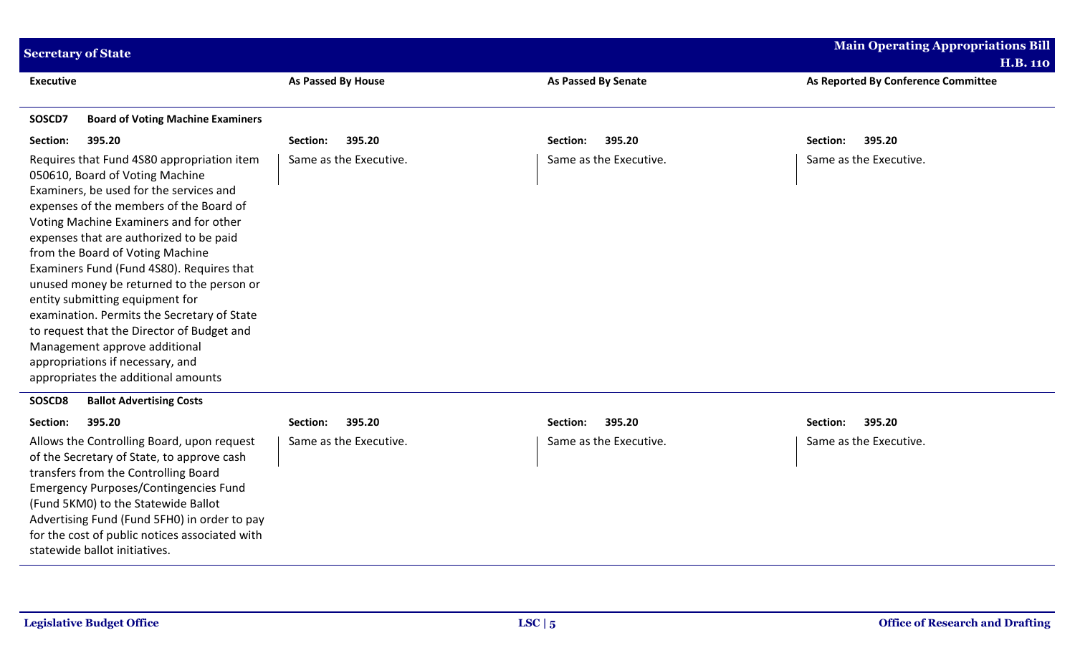| <b>Secretary of State</b>                                                                                                                                                                                                                                                                                                                                                                                                                                                                                                                                                                                                          |                           |                            | <b>Main Operating Appropriations Bill</b><br><b>H.B. 110</b> |
|------------------------------------------------------------------------------------------------------------------------------------------------------------------------------------------------------------------------------------------------------------------------------------------------------------------------------------------------------------------------------------------------------------------------------------------------------------------------------------------------------------------------------------------------------------------------------------------------------------------------------------|---------------------------|----------------------------|--------------------------------------------------------------|
| <b>Executive</b>                                                                                                                                                                                                                                                                                                                                                                                                                                                                                                                                                                                                                   | <b>As Passed By House</b> | <b>As Passed By Senate</b> | As Reported By Conference Committee                          |
| <b>Board of Voting Machine Examiners</b><br>SOSCD7                                                                                                                                                                                                                                                                                                                                                                                                                                                                                                                                                                                 |                           |                            |                                                              |
| Section:<br>395.20                                                                                                                                                                                                                                                                                                                                                                                                                                                                                                                                                                                                                 | 395.20<br>Section:        | 395.20<br>Section:         | Section:<br>395.20                                           |
| Requires that Fund 4S80 appropriation item<br>050610, Board of Voting Machine<br>Examiners, be used for the services and<br>expenses of the members of the Board of<br>Voting Machine Examiners and for other<br>expenses that are authorized to be paid<br>from the Board of Voting Machine<br>Examiners Fund (Fund 4S80). Requires that<br>unused money be returned to the person or<br>entity submitting equipment for<br>examination. Permits the Secretary of State<br>to request that the Director of Budget and<br>Management approve additional<br>appropriations if necessary, and<br>appropriates the additional amounts | Same as the Executive.    | Same as the Executive.     | Same as the Executive.                                       |
| SOSCD8<br><b>Ballot Advertising Costs</b>                                                                                                                                                                                                                                                                                                                                                                                                                                                                                                                                                                                          |                           |                            |                                                              |
| Section:<br>395.20                                                                                                                                                                                                                                                                                                                                                                                                                                                                                                                                                                                                                 | 395.20<br>Section:        | 395.20<br>Section:         | 395.20<br>Section:                                           |
| Allows the Controlling Board, upon request<br>of the Secretary of State, to approve cash<br>transfers from the Controlling Board<br><b>Emergency Purposes/Contingencies Fund</b><br>(Fund 5KM0) to the Statewide Ballot<br>Advertising Fund (Fund 5FH0) in order to pay<br>for the cost of public notices associated with<br>statewide ballot initiatives.                                                                                                                                                                                                                                                                         | Same as the Executive.    | Same as the Executive.     | Same as the Executive.                                       |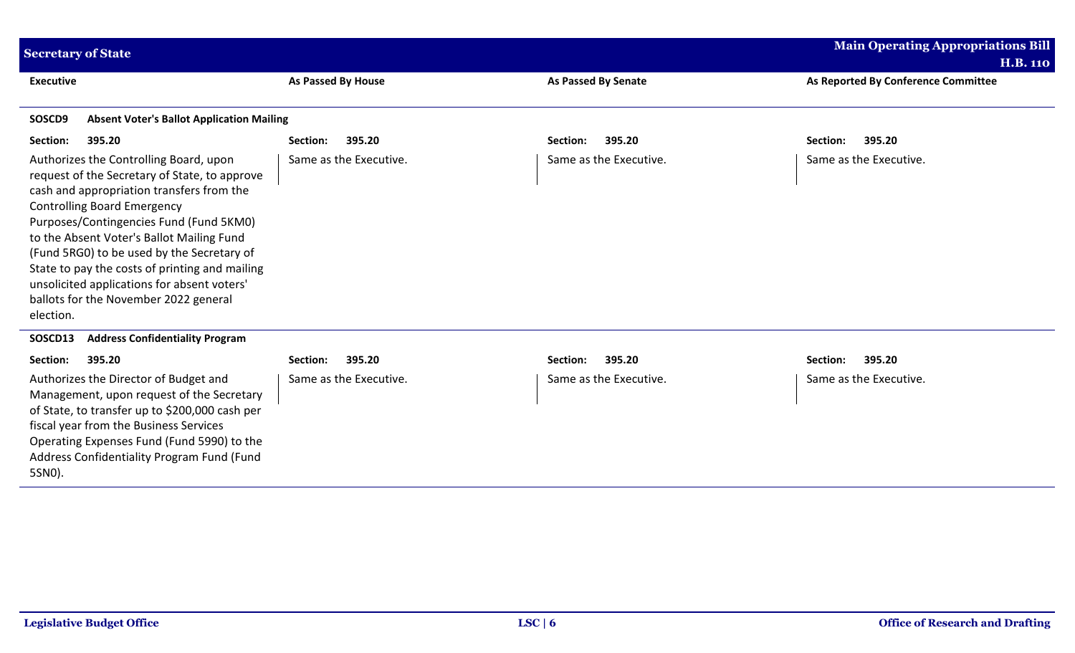| <b>Secretary of State</b>                                                                                                                                                                                                                                                                                                                                                                                                                                               |                           |                            | <b>Main Operating Appropriations Bill</b> |
|-------------------------------------------------------------------------------------------------------------------------------------------------------------------------------------------------------------------------------------------------------------------------------------------------------------------------------------------------------------------------------------------------------------------------------------------------------------------------|---------------------------|----------------------------|-------------------------------------------|
|                                                                                                                                                                                                                                                                                                                                                                                                                                                                         |                           |                            | <b>H.B. 110</b>                           |
| <b>Executive</b>                                                                                                                                                                                                                                                                                                                                                                                                                                                        | <b>As Passed By House</b> | <b>As Passed By Senate</b> | As Reported By Conference Committee       |
| SOSCD9<br><b>Absent Voter's Ballot Application Mailing</b>                                                                                                                                                                                                                                                                                                                                                                                                              |                           |                            |                                           |
| Section:<br>395.20                                                                                                                                                                                                                                                                                                                                                                                                                                                      | Section:<br>395.20        | 395.20<br>Section:         | 395.20<br>Section:                        |
| Authorizes the Controlling Board, upon<br>request of the Secretary of State, to approve<br>cash and appropriation transfers from the<br><b>Controlling Board Emergency</b><br>Purposes/Contingencies Fund (Fund 5KM0)<br>to the Absent Voter's Ballot Mailing Fund<br>(Fund 5RG0) to be used by the Secretary of<br>State to pay the costs of printing and mailing<br>unsolicited applications for absent voters'<br>ballots for the November 2022 general<br>election. | Same as the Executive.    | Same as the Executive.     | Same as the Executive.                    |
| <b>Address Confidentiality Program</b><br>SOSCD13                                                                                                                                                                                                                                                                                                                                                                                                                       |                           |                            |                                           |
| Section:<br>395.20                                                                                                                                                                                                                                                                                                                                                                                                                                                      | 395.20<br>Section:        | 395.20<br>Section:         | 395.20<br>Section:                        |
| Authorizes the Director of Budget and<br>Management, upon request of the Secretary<br>of State, to transfer up to \$200,000 cash per<br>fiscal year from the Business Services<br>Operating Expenses Fund (Fund 5990) to the<br>Address Confidentiality Program Fund (Fund<br>5SN0).                                                                                                                                                                                    | Same as the Executive.    | Same as the Executive.     | Same as the Executive.                    |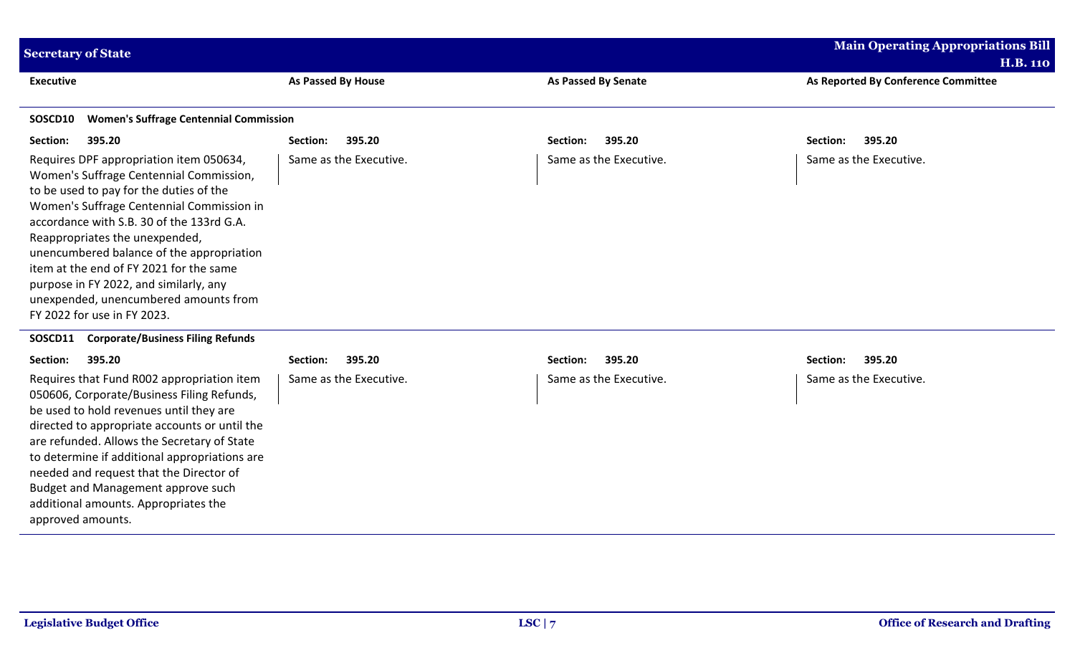| <b>Secretary of State</b>                                                                                                                                                                                                                                                                                                                                                                                                                                           |                           |                            | <b>Main Operating Appropriations Bill</b><br><b>H.B. 110</b> |
|---------------------------------------------------------------------------------------------------------------------------------------------------------------------------------------------------------------------------------------------------------------------------------------------------------------------------------------------------------------------------------------------------------------------------------------------------------------------|---------------------------|----------------------------|--------------------------------------------------------------|
| <b>Executive</b>                                                                                                                                                                                                                                                                                                                                                                                                                                                    | <b>As Passed By House</b> | <b>As Passed By Senate</b> | As Reported By Conference Committee                          |
| <b>Women's Suffrage Centennial Commission</b><br>SOSCD10                                                                                                                                                                                                                                                                                                                                                                                                            |                           |                            |                                                              |
| Section:<br>395.20                                                                                                                                                                                                                                                                                                                                                                                                                                                  | 395.20<br>Section:        | 395.20<br>Section:         | 395.20<br>Section:                                           |
| Requires DPF appropriation item 050634,<br>Women's Suffrage Centennial Commission,<br>to be used to pay for the duties of the<br>Women's Suffrage Centennial Commission in<br>accordance with S.B. 30 of the 133rd G.A.<br>Reappropriates the unexpended,<br>unencumbered balance of the appropriation<br>item at the end of FY 2021 for the same<br>purpose in FY 2022, and similarly, any<br>unexpended, unencumbered amounts from<br>FY 2022 for use in FY 2023. | Same as the Executive.    | Same as the Executive.     | Same as the Executive.                                       |
| <b>Corporate/Business Filing Refunds</b><br>SOSCD11                                                                                                                                                                                                                                                                                                                                                                                                                 |                           |                            |                                                              |
| Section:<br>395.20                                                                                                                                                                                                                                                                                                                                                                                                                                                  | 395.20<br>Section:        | 395.20<br>Section:         | 395.20<br>Section:                                           |
| Requires that Fund R002 appropriation item<br>050606, Corporate/Business Filing Refunds,<br>be used to hold revenues until they are<br>directed to appropriate accounts or until the<br>are refunded. Allows the Secretary of State<br>to determine if additional appropriations are<br>needed and request that the Director of<br>Budget and Management approve such<br>additional amounts. Appropriates the<br>approved amounts.                                  | Same as the Executive.    | Same as the Executive.     | Same as the Executive.                                       |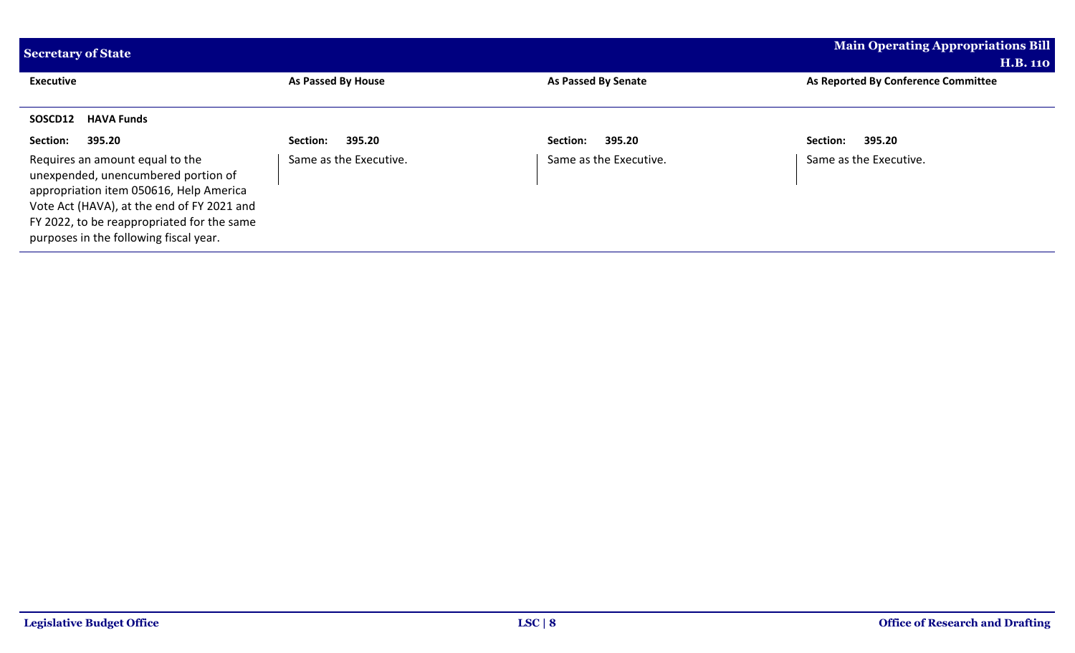| <b>Secretary of State</b>                                                                                                                                                                                                                               | <b>Main Operating Appropriations Bill</b> |                        |                                     |
|---------------------------------------------------------------------------------------------------------------------------------------------------------------------------------------------------------------------------------------------------------|-------------------------------------------|------------------------|-------------------------------------|
|                                                                                                                                                                                                                                                         |                                           |                        | <b>H.B. 110</b>                     |
| <b>Executive</b>                                                                                                                                                                                                                                        | As Passed By House                        | As Passed By Senate    | As Reported By Conference Committee |
|                                                                                                                                                                                                                                                         |                                           |                        |                                     |
| <b>HAVA Funds</b><br>SOSCD12                                                                                                                                                                                                                            |                                           |                        |                                     |
| 395.20<br>Section:                                                                                                                                                                                                                                      | 395.20<br>Section:                        | 395.20<br>Section:     | 395.20<br>Section:                  |
| Requires an amount equal to the<br>unexpended, unencumbered portion of<br>appropriation item 050616, Help America<br>Vote Act (HAVA), at the end of FY 2021 and<br>FY 2022, to be reappropriated for the same<br>purposes in the following fiscal year. | Same as the Executive.                    | Same as the Executive. | Same as the Executive.              |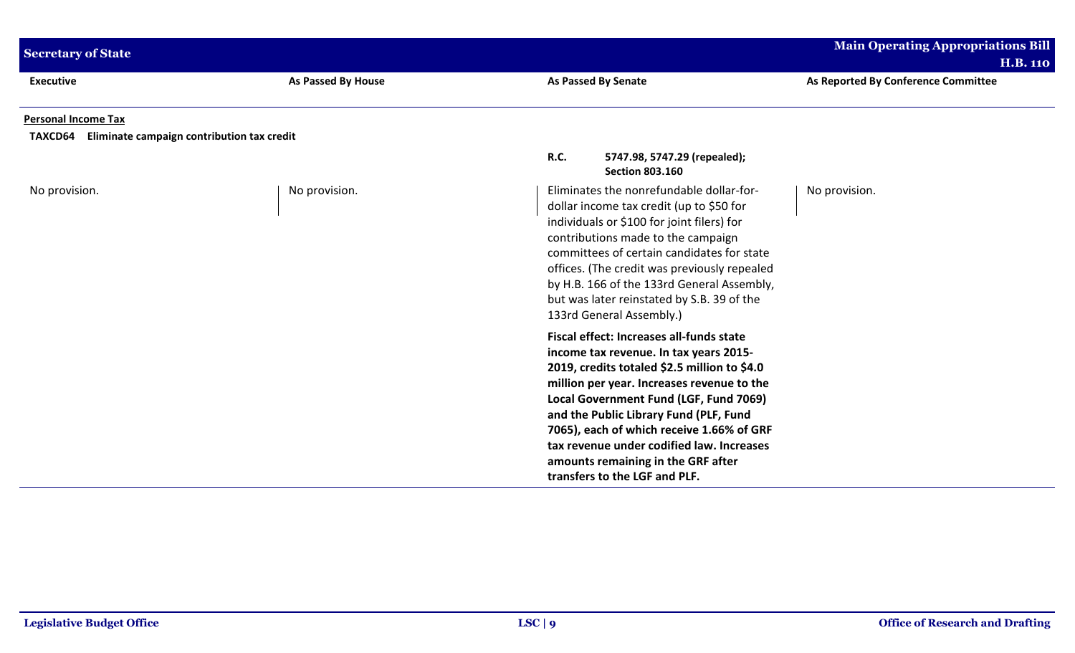| <b>Secretary of State</b>                                                           |                    |                                                                                                                                                                                                                                                                                                                                                                                                |                                                                                                                                                                                                                                                                                                                                                                                                                                       | <b>Main Operating Appropriations Bill</b><br><b>H.B. 110</b> |
|-------------------------------------------------------------------------------------|--------------------|------------------------------------------------------------------------------------------------------------------------------------------------------------------------------------------------------------------------------------------------------------------------------------------------------------------------------------------------------------------------------------------------|---------------------------------------------------------------------------------------------------------------------------------------------------------------------------------------------------------------------------------------------------------------------------------------------------------------------------------------------------------------------------------------------------------------------------------------|--------------------------------------------------------------|
| <b>Executive</b>                                                                    | As Passed By House |                                                                                                                                                                                                                                                                                                                                                                                                | <b>As Passed By Senate</b>                                                                                                                                                                                                                                                                                                                                                                                                            | As Reported By Conference Committee                          |
| <b>Personal Income Tax</b><br>TAXCD64<br>Eliminate campaign contribution tax credit |                    |                                                                                                                                                                                                                                                                                                                                                                                                |                                                                                                                                                                                                                                                                                                                                                                                                                                       |                                                              |
|                                                                                     |                    | <b>R.C.</b>                                                                                                                                                                                                                                                                                                                                                                                    | 5747.98, 5747.29 (repealed);<br><b>Section 803.160</b>                                                                                                                                                                                                                                                                                                                                                                                |                                                              |
| No provision.                                                                       | No provision.      | Eliminates the nonrefundable dollar-for-<br>dollar income tax credit (up to \$50 for<br>individuals or \$100 for joint filers) for<br>contributions made to the campaign<br>committees of certain candidates for state<br>offices. (The credit was previously repealed<br>by H.B. 166 of the 133rd General Assembly,<br>but was later reinstated by S.B. 39 of the<br>133rd General Assembly.) |                                                                                                                                                                                                                                                                                                                                                                                                                                       | No provision.                                                |
|                                                                                     |                    |                                                                                                                                                                                                                                                                                                                                                                                                | Fiscal effect: Increases all-funds state<br>income tax revenue. In tax years 2015-<br>2019, credits totaled \$2.5 million to \$4.0<br>million per year. Increases revenue to the<br>Local Government Fund (LGF, Fund 7069)<br>and the Public Library Fund (PLF, Fund<br>7065), each of which receive 1.66% of GRF<br>tax revenue under codified law. Increases<br>amounts remaining in the GRF after<br>transfers to the LGF and PLF. |                                                              |